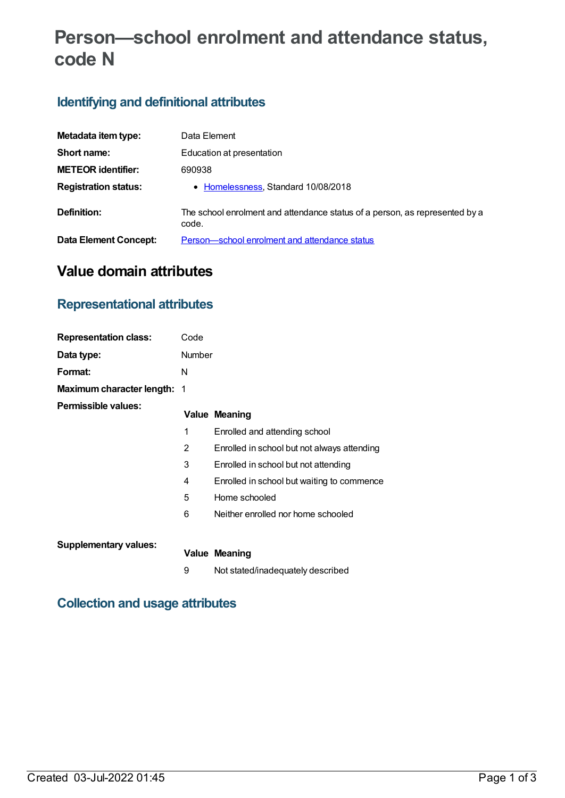# **Person—school enrolment and attendance status, code N**

# **Identifying and definitional attributes**

| Metadata item type:          | Data Element                                                                         |
|------------------------------|--------------------------------------------------------------------------------------|
| Short name:                  | Education at presentation                                                            |
| <b>METEOR identifier:</b>    | 690938                                                                               |
| <b>Registration status:</b>  | • Homelessness, Standard 10/08/2018                                                  |
| Definition:                  | The school enrolment and attendance status of a person, as represented by a<br>code. |
| <b>Data Element Concept:</b> | Person-school enrolment and attendance status                                        |

# **Value domain attributes**

#### **Representational attributes**

| <b>Representation class:</b>       | Code   |                                             |
|------------------------------------|--------|---------------------------------------------|
| Data type:                         | Number |                                             |
| Format:                            | N      |                                             |
| <b>Maximum character length: 1</b> |        |                                             |
| Permissible values:                |        | <b>Value Meaning</b>                        |
|                                    | 1      | Enrolled and attending school               |
|                                    | 2      | Enrolled in school but not always attending |
|                                    | 3      | Enrolled in school but not attending        |
|                                    | 4      | Enrolled in school but waiting to commence  |
|                                    | 5      | Home schooled                               |
|                                    | 6      | Neither enrolled nor home schooled          |
| <b>Supplementary values:</b>       |        |                                             |
|                                    |        | <b>Value Meaning</b>                        |
|                                    | 9      | Not stated/inadequately described           |

# **Collection and usage attributes**